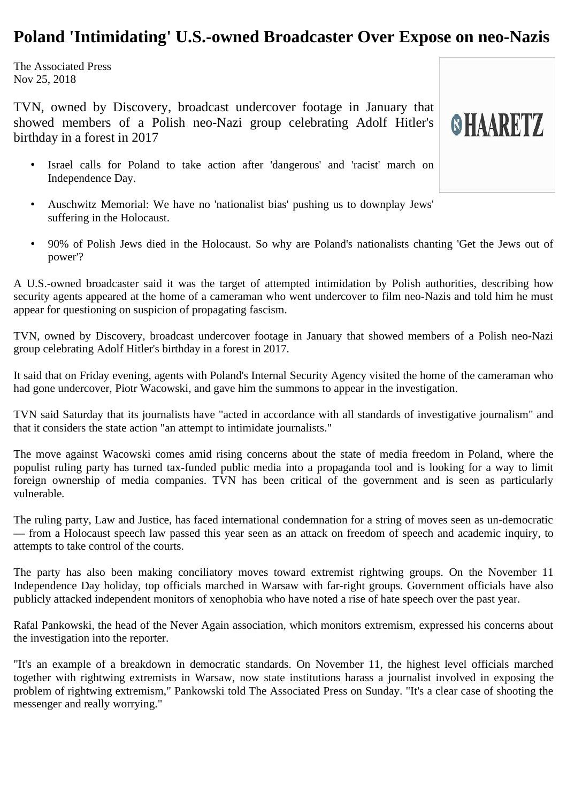## **Poland 'Intimidating' U.S.-owned Broadcaster Over Expose on neo-Nazis**

The Associated Press Nov 25, 2018

TVN, owned by Discovery, broadcast undercover footage in January that showed members of a Polish neo-Nazi group celebrating Adolf Hitler's birthday in a forest in 2017

- Israel calls for Poland to take action after 'dangerous' and 'racist' march on Independence Day.
- Auschwitz Memorial: We have no 'nationalist bias' pushing us to downplay Jews' suffering in the Holocaust.
- 90% of Polish Jews died in the Holocaust. So why are Poland's nationalists chanting 'Get the Jews out of power'?

**SHAARETZ** 

A U.S.-owned broadcaster said it was the target of attempted intimidation by Polish authorities, describing how security agents appeared at the home of a cameraman who went undercover to film neo-Nazis and told him he must appear for questioning on suspicion of propagating fascism.

TVN, owned by Discovery, broadcast undercover footage in January that showed members of a Polish neo-Nazi group celebrating Adolf Hitler's birthday in a forest in 2017.

It said that on Friday evening, agents with Poland's Internal Security Agency visited the home of the cameraman who had gone undercover, Piotr Wacowski, and gave him the summons to appear in the investigation.

TVN said Saturday that its journalists have "acted in accordance with all standards of investigative journalism" and that it considers the state action "an attempt to intimidate journalists."

The move against Wacowski comes amid rising concerns about the state of media freedom in Poland, where the populist ruling party has turned tax-funded public media into a propaganda tool and is looking for a way to limit foreign ownership of media companies. TVN has been critical of the government and is seen as particularly vulnerable.

The ruling party, Law and Justice, has faced international condemnation for a string of moves seen as un-democratic — from a Holocaust speech law passed this year seen as an attack on freedom of speech and academic inquiry, to attempts to take control of the courts.

The party has also been making conciliatory moves toward extremist rightwing groups. On the November 11 Independence Day holiday, top officials marched in Warsaw with far-right groups. Government officials have also publicly attacked independent monitors of xenophobia who have noted a rise of hate speech over the past year.

Rafal Pankowski, the head of the Never Again association, which monitors extremism, expressed his concerns about the investigation into the reporter.

"It's an example of a breakdown in democratic standards. On November 11, the highest level officials marched together with rightwing extremists in Warsaw, now state institutions harass a journalist involved in exposing the problem of rightwing extremism," Pankowski told The Associated Press on Sunday. "It's a clear case of shooting the messenger and really worrying."